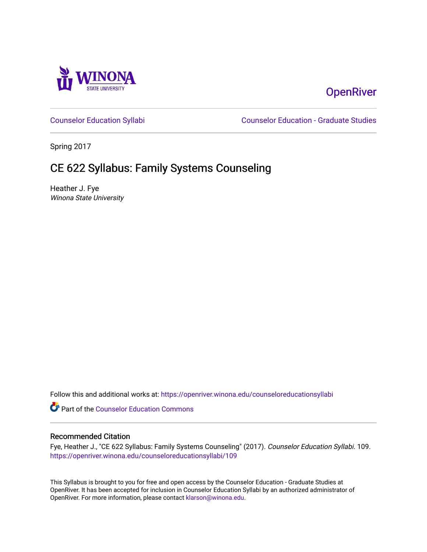

# **OpenRiver**

[Counselor Education Syllabi](https://openriver.winona.edu/counseloreducationsyllabi) [Counselor Education - Graduate Studies](https://openriver.winona.edu/counseloreducation) 

Spring 2017

# CE 622 Syllabus: Family Systems Counseling

Heather J. Fye Winona State University

Follow this and additional works at: [https://openriver.winona.edu/counseloreducationsyllabi](https://openriver.winona.edu/counseloreducationsyllabi?utm_source=openriver.winona.edu%2Fcounseloreducationsyllabi%2F109&utm_medium=PDF&utm_campaign=PDFCoverPages)

Part of the [Counselor Education Commons](http://network.bepress.com/hgg/discipline/1278?utm_source=openriver.winona.edu%2Fcounseloreducationsyllabi%2F109&utm_medium=PDF&utm_campaign=PDFCoverPages) 

#### Recommended Citation

Fye, Heather J., "CE 622 Syllabus: Family Systems Counseling" (2017). Counselor Education Syllabi. 109. [https://openriver.winona.edu/counseloreducationsyllabi/109](https://openriver.winona.edu/counseloreducationsyllabi/109?utm_source=openriver.winona.edu%2Fcounseloreducationsyllabi%2F109&utm_medium=PDF&utm_campaign=PDFCoverPages)

This Syllabus is brought to you for free and open access by the Counselor Education - Graduate Studies at OpenRiver. It has been accepted for inclusion in Counselor Education Syllabi by an authorized administrator of OpenRiver. For more information, please contact [klarson@winona.edu](mailto:klarson@winona.edu).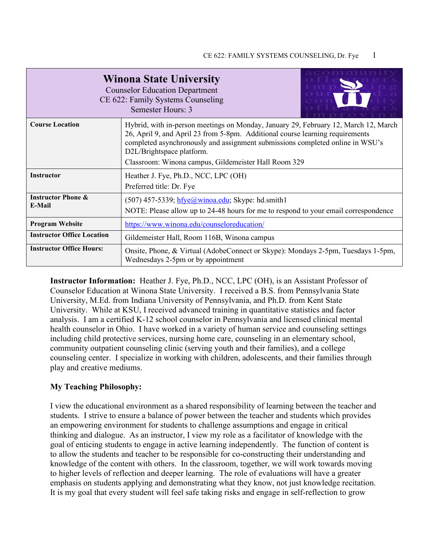| <b>Winona State University</b><br><b>Counselor Education Department</b><br>CE 622: Family Systems Counseling<br>Semester Hours: 3 |                                                                                                                                                                                                                                                                                                                                            |  |  |  |  |
|-----------------------------------------------------------------------------------------------------------------------------------|--------------------------------------------------------------------------------------------------------------------------------------------------------------------------------------------------------------------------------------------------------------------------------------------------------------------------------------------|--|--|--|--|
| <b>Course Location</b>                                                                                                            | Hybrid, with in-person meetings on Monday, January 29, February 12, March 12, March<br>26, April 9, and April 23 from 5-8pm. Additional course learning requirements<br>completed asynchronously and assignment submissions completed online in WSU's<br>D2L/Brightspace platform.<br>Classroom: Winona campus, Gildemeister Hall Room 329 |  |  |  |  |
| <b>Instructor</b>                                                                                                                 | Heather J. Fye, Ph.D., NCC, LPC (OH)<br>Preferred title: Dr. Fye                                                                                                                                                                                                                                                                           |  |  |  |  |
| <b>Instructor Phone &amp;</b><br>E-Mail                                                                                           | $(507)$ 457-5339; hfye@winoa.edu; Skype: hd.smith1<br>NOTE: Please allow up to 24-48 hours for me to respond to your email correspondence                                                                                                                                                                                                  |  |  |  |  |
| <b>Program Website</b>                                                                                                            | https://www.winona.edu/counseloreducation/                                                                                                                                                                                                                                                                                                 |  |  |  |  |
| <b>Instructor Office Location</b><br>Gildemeister Hall, Room 116B, Winona campus                                                  |                                                                                                                                                                                                                                                                                                                                            |  |  |  |  |
| <b>Instructor Office Hours:</b>                                                                                                   | Onsite, Phone, & Virtual (AdobeConnect or Skype): Mondays 2-5pm, Tuesdays 1-5pm,<br>Wednesdays 2-5pm or by appointment                                                                                                                                                                                                                     |  |  |  |  |

**Instructor Information:** Heather J. Fye, Ph.D., NCC, LPC (OH), is an Assistant Professor of Counselor Education at Winona State University. I received a B.S. from Pennsylvania State University, M.Ed. from Indiana University of Pennsylvania, and Ph.D. from Kent State University. While at KSU, I received advanced training in quantitative statistics and factor analysis. I am a certified K-12 school counselor in Pennsylvania and licensed clinical mental health counselor in Ohio. I have worked in a variety of human service and counseling settings including child protective services, nursing home care, counseling in an elementary school, community outpatient counseling clinic (serving youth and their families), and a college counseling center. I specialize in working with children, adolescents, and their families through play and creative mediums.

### **My Teaching Philosophy:**

I view the educational environment as a shared responsibility of learning between the teacher and students. I strive to ensure a balance of power between the teacher and students which provides an empowering environment for students to challenge assumptions and engage in critical thinking and dialogue. As an instructor, I view my role as a facilitator of knowledge with the goal of enticing students to engage in active learning independently. The function of content is to allow the students and teacher to be responsible for co-constructing their understanding and knowledge of the content with others. In the classroom, together, we will work towards moving to higher levels of reflection and deeper learning. The role of evaluations will have a greater emphasis on students applying and demonstrating what they know, not just knowledge recitation. It is my goal that every student will feel safe taking risks and engage in self-reflection to grow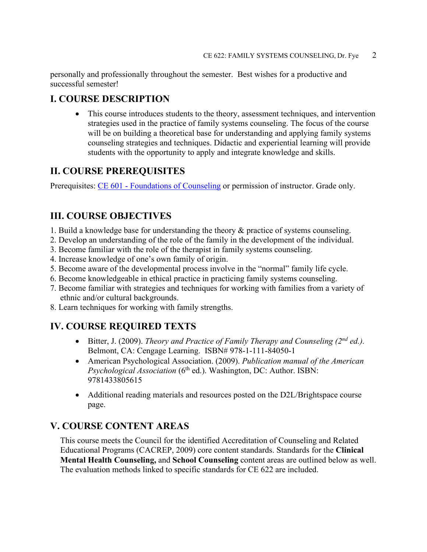personally and professionally throughout the semester. Best wishes for a productive and successful semester!

## **I. COURSE DESCRIPTION**

• This course introduces students to the theory, assessment techniques, and intervention strategies used in the practice of family systems counseling. The focus of the course will be on building a theoretical base for understanding and applying family systems counseling strategies and techniques. Didactic and experiential learning will provide students with the opportunity to apply and integrate knowledge and skills.

## **II. COURSE PREREQUISITES**

Prerequisites: CE 601 - [Foundations of Counseling](http://catalog.winona.edu/preview_program.php?catoid=17&poid=3390#tt6814) or permission of instructor. Grade only.

## **III. COURSE OBJECTIVES**

- 1. Build a knowledge base for understanding the theory & practice of systems counseling.
- 2. Develop an understanding of the role of the family in the development of the individual.
- 3. Become familiar with the role of the therapist in family systems counseling.
- 4. Increase knowledge of one's own family of origin.
- 5. Become aware of the developmental process involve in the "normal" family life cycle.
- 6. Become knowledgeable in ethical practice in practicing family systems counseling.
- 7. Become familiar with strategies and techniques for working with families from a variety of ethnic and/or cultural backgrounds.
- 8. Learn techniques for working with family strengths.

## **IV. COURSE REQUIRED TEXTS**

- Bitter, J. (2009). *Theory and Practice of Family Therapy and Counseling (2nd ed.).* Belmont, CA: Cengage Learning. ISBN# 978-1-111-84050-1
- American Psychological Association. (2009). *Publication manual of the American Psychological Association* (6<sup>th</sup> ed.). Washington, DC: Author. ISBN: 9781433805615
- Additional reading materials and resources posted on the D2L/Brightspace course page.

## **V. COURSE CONTENT AREAS**

This course meets the Council for the identified Accreditation of Counseling and Related Educational Programs (CACREP, 2009) core content standards. Standards for the **Clinical Mental Health Counseling,** and **School Counseling** content areas are outlined below as well. The evaluation methods linked to specific standards for CE 622 are included.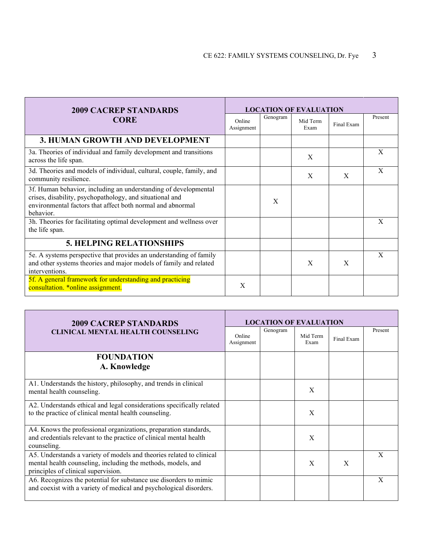| <b>2009 CACREP STANDARDS</b>                                                                                                                                                                           |                      |          | <b>LOCATION OF EVALUATION</b> |            |              |
|--------------------------------------------------------------------------------------------------------------------------------------------------------------------------------------------------------|----------------------|----------|-------------------------------|------------|--------------|
| <b>CORE</b>                                                                                                                                                                                            | Online<br>Assignment | Genogram | Mid Term<br>Exam              | Final Exam | Present      |
| <b>3. HUMAN GROWTH AND DEVELOPMENT</b>                                                                                                                                                                 |                      |          |                               |            |              |
| 3a. Theories of individual and family development and transitions<br>across the life span.                                                                                                             |                      |          | X                             |            | X            |
| 3d. Theories and models of individual, cultural, couple, family, and<br>community resilience.                                                                                                          |                      |          | X                             | X          | X            |
| 3f. Human behavior, including an understanding of developmental<br>crises, disability, psychopathology, and situational and<br>environmental factors that affect both normal and abnormal<br>behavior. |                      | X        |                               |            |              |
| 3h. Theories for facilitating optimal development and wellness over<br>the life span.                                                                                                                  |                      |          |                               |            | $\mathbf{X}$ |
| <b>5. HELPING RELATIONSHIPS</b>                                                                                                                                                                        |                      |          |                               |            |              |
| 5e. A systems perspective that provides an understanding of family<br>and other systems theories and major models of family and related<br>interventions.                                              |                      |          | X                             | X          | X            |
| 5f. A general framework for understanding and practicing<br>consultation. *online assignment.                                                                                                          | X                    |          |                               |            |              |

| <b>2009 CACREP STANDARDS</b>                                                                                                                                                |                      | <b>LOCATION OF EVALUATION</b> |                  |            |         |
|-----------------------------------------------------------------------------------------------------------------------------------------------------------------------------|----------------------|-------------------------------|------------------|------------|---------|
| <b>CLINICAL MENTAL HEALTH COUNSELING</b>                                                                                                                                    | Online<br>Assignment | Genogram                      | Mid Term<br>Exam | Final Exam | Present |
| <b>FOUNDATION</b>                                                                                                                                                           |                      |                               |                  |            |         |
| A. Knowledge                                                                                                                                                                |                      |                               |                  |            |         |
| A1. Understands the history, philosophy, and trends in clinical<br>mental health counseling.                                                                                |                      |                               | X                |            |         |
| A2. Understands ethical and legal considerations specifically related<br>to the practice of clinical mental health counseling.                                              |                      |                               | X                |            |         |
| A4. Knows the professional organizations, preparation standards,<br>and credentials relevant to the practice of clinical mental health<br>counseling.                       |                      |                               | X                |            |         |
| A5. Understands a variety of models and theories related to clinical<br>mental health counseling, including the methods, models, and<br>principles of clinical supervision. |                      |                               | X                | X          | X       |
| A6. Recognizes the potential for substance use disorders to mimic<br>and coexist with a variety of medical and psychological disorders.                                     |                      |                               |                  |            | X       |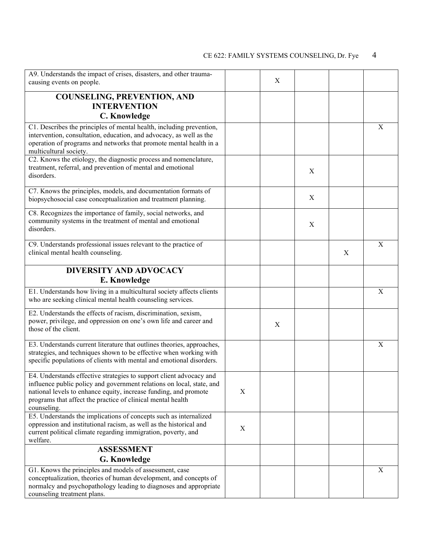| A9. Understands the impact of crises, disasters, and other trauma-                                                              |                           |                  |   |   |             |
|---------------------------------------------------------------------------------------------------------------------------------|---------------------------|------------------|---|---|-------------|
| causing events on people.                                                                                                       |                           | X                |   |   |             |
| <b>COUNSELING, PREVENTION, AND</b>                                                                                              |                           |                  |   |   |             |
| <b>INTERVENTION</b>                                                                                                             |                           |                  |   |   |             |
| C. Knowledge                                                                                                                    |                           |                  |   |   |             |
| C1. Describes the principles of mental health, including prevention,                                                            |                           |                  |   |   | X           |
| intervention, consultation, education, and advocacy, as well as the                                                             |                           |                  |   |   |             |
| operation of programs and networks that promote mental health in a<br>multicultural society.                                    |                           |                  |   |   |             |
| C2. Knows the etiology, the diagnostic process and nomenclature,                                                                |                           |                  |   |   |             |
| treatment, referral, and prevention of mental and emotional<br>disorders.                                                       |                           |                  | X |   |             |
| C7. Knows the principles, models, and documentation formats of                                                                  |                           |                  |   |   |             |
| biopsychosocial case conceptualization and treatment planning.                                                                  |                           |                  | X |   |             |
| C8. Recognizes the importance of family, social networks, and                                                                   |                           |                  |   |   |             |
| community systems in the treatment of mental and emotional                                                                      |                           |                  | X |   |             |
| disorders.                                                                                                                      |                           |                  |   |   |             |
| C9. Understands professional issues relevant to the practice of                                                                 |                           |                  |   |   | X           |
| clinical mental health counseling.                                                                                              |                           |                  |   | X |             |
| <b>DIVERSITY AND ADVOCACY</b>                                                                                                   |                           |                  |   |   |             |
| E. Knowledge                                                                                                                    |                           |                  |   |   |             |
| E1. Understands how living in a multicultural society affects clients                                                           |                           |                  |   |   | X           |
| who are seeking clinical mental health counseling services.                                                                     |                           |                  |   |   |             |
| E2. Understands the effects of racism, discrimination, sexism,                                                                  |                           |                  |   |   |             |
| power, privilege, and oppression on one's own life and career and<br>those of the client.                                       |                           | $\boldsymbol{X}$ |   |   |             |
|                                                                                                                                 |                           |                  |   |   |             |
| E3. Understands current literature that outlines theories, approaches,                                                          |                           |                  |   |   | $\mathbf X$ |
| strategies, and techniques shown to be effective when working with                                                              |                           |                  |   |   |             |
| specific populations of clients with mental and emotional disorders.                                                            |                           |                  |   |   |             |
| E4. Understands effective strategies to support client advocacy and                                                             |                           |                  |   |   |             |
| influence public policy and government relations on local, state, and                                                           |                           |                  |   |   |             |
| national levels to enhance equity, increase funding, and promote<br>programs that affect the practice of clinical mental health | X                         |                  |   |   |             |
| counseling.                                                                                                                     |                           |                  |   |   |             |
| E5. Understands the implications of concepts such as internalized                                                               |                           |                  |   |   |             |
| oppression and institutional racism, as well as the historical and                                                              | $\boldsymbol{\mathrm{X}}$ |                  |   |   |             |
| current political climate regarding immigration, poverty, and<br>welfare.                                                       |                           |                  |   |   |             |
| <b>ASSESSMENT</b>                                                                                                               |                           |                  |   |   |             |
| <b>G. Knowledge</b>                                                                                                             |                           |                  |   |   |             |
| G1. Knows the principles and models of assessment, case                                                                         |                           |                  |   |   | X           |
| conceptualization, theories of human development, and concepts of                                                               |                           |                  |   |   |             |
| normalcy and psychopathology leading to diagnoses and appropriate<br>counseling treatment plans.                                |                           |                  |   |   |             |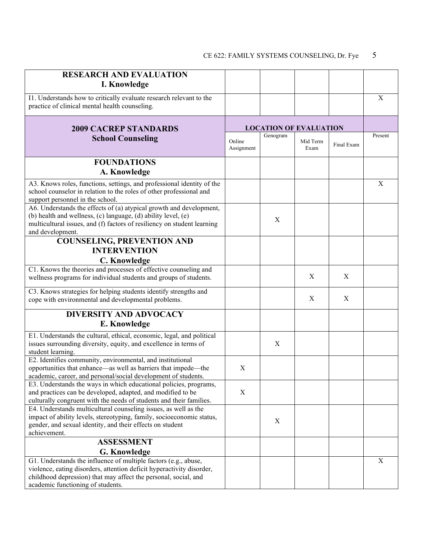| <b>RESEARCH AND EVALUATION</b>                                                                                                                                                                                                                   |                      |          |                               |            |             |
|--------------------------------------------------------------------------------------------------------------------------------------------------------------------------------------------------------------------------------------------------|----------------------|----------|-------------------------------|------------|-------------|
| I. Knowledge                                                                                                                                                                                                                                     |                      |          |                               |            |             |
| I1. Understands how to critically evaluate research relevant to the                                                                                                                                                                              |                      |          |                               |            | X           |
| practice of clinical mental health counseling.                                                                                                                                                                                                   |                      |          |                               |            |             |
|                                                                                                                                                                                                                                                  |                      |          |                               |            |             |
| <b>2009 CACREP STANDARDS</b>                                                                                                                                                                                                                     |                      |          | <b>LOCATION OF EVALUATION</b> |            |             |
|                                                                                                                                                                                                                                                  |                      | Genogram |                               |            | Present     |
| <b>School Counseling</b>                                                                                                                                                                                                                         | Online<br>Assignment |          | Mid Term<br>Exam              | Final Exam |             |
| <b>FOUNDATIONS</b>                                                                                                                                                                                                                               |                      |          |                               |            |             |
| A. Knowledge                                                                                                                                                                                                                                     |                      |          |                               |            |             |
| A3. Knows roles, functions, settings, and professional identity of the<br>school counselor in relation to the roles of other professional and<br>support personnel in the school.                                                                |                      |          |                               |            | $\mathbf X$ |
| A6. Understands the effects of (a) atypical growth and development,<br>(b) health and wellness, (c) language, (d) ability level, (e)<br>multicultural issues, and (f) factors of resiliency on student learning<br>and development.              |                      | X        |                               |            |             |
| <b>COUNSELING, PREVENTION AND</b>                                                                                                                                                                                                                |                      |          |                               |            |             |
| <b>INTERVENTION</b>                                                                                                                                                                                                                              |                      |          |                               |            |             |
| C. Knowledge                                                                                                                                                                                                                                     |                      |          |                               |            |             |
| C1. Knows the theories and processes of effective counseling and                                                                                                                                                                                 |                      |          |                               |            |             |
| wellness programs for individual students and groups of students.                                                                                                                                                                                |                      |          | X                             | X          |             |
| C3. Knows strategies for helping students identify strengths and                                                                                                                                                                                 |                      |          |                               |            |             |
| cope with environmental and developmental problems.                                                                                                                                                                                              |                      |          | X                             | X          |             |
| <b>DIVERSITY AND ADVOCACY</b>                                                                                                                                                                                                                    |                      |          |                               |            |             |
| E. Knowledge                                                                                                                                                                                                                                     |                      |          |                               |            |             |
| E1. Understands the cultural, ethical, economic, legal, and political<br>issues surrounding diversity, equity, and excellence in terms of<br>student learning.                                                                                   |                      | X        |                               |            |             |
| E2. Identifies community, environmental, and institutional<br>opportunities that enhance—as well as barriers that impede—the<br>academic, career, and personal/social development of students.                                                   | X                    |          |                               |            |             |
| E3. Understands the ways in which educational policies, programs,<br>and practices can be developed, adapted, and modified to be<br>culturally congruent with the needs of students and their families.                                          | X                    |          |                               |            |             |
| E4. Understands multicultural counseling issues, as well as the<br>impact of ability levels, stereotyping, family, socioeconomic status,<br>gender, and sexual identity, and their effects on student<br>achievement.                            |                      | X        |                               |            |             |
| <b>ASSESSMENT</b>                                                                                                                                                                                                                                |                      |          |                               |            |             |
| <b>G. Knowledge</b>                                                                                                                                                                                                                              |                      |          |                               |            |             |
| G1. Understands the influence of multiple factors (e.g., abuse,<br>violence, eating disorders, attention deficit hyperactivity disorder,<br>childhood depression) that may affect the personal, social, and<br>academic functioning of students. |                      |          |                               |            | $\mathbf X$ |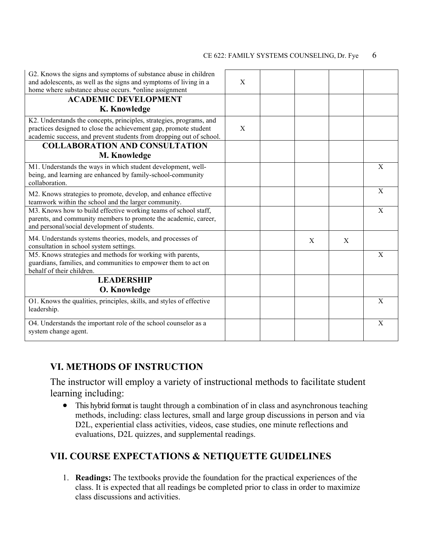| G2. Knows the signs and symptoms of substance abuse in children<br>and adolescents, as well as the signs and symptoms of living in a<br>home where substance abuse occurs. *online assignment                  | X |   |   |   |
|----------------------------------------------------------------------------------------------------------------------------------------------------------------------------------------------------------------|---|---|---|---|
| <b>ACADEMIC DEVELOPMENT</b><br>K. Knowledge                                                                                                                                                                    |   |   |   |   |
| K2. Understands the concepts, principles, strategies, programs, and<br>practices designed to close the achievement gap, promote student<br>academic success, and prevent students from dropping out of school. | X |   |   |   |
| <b>COLLABORATION AND CONSULTATION</b><br>M. Knowledge                                                                                                                                                          |   |   |   |   |
| M1. Understands the ways in which student development, well-<br>being, and learning are enhanced by family-school-community<br>collaboration.                                                                  |   |   |   | X |
| M2. Knows strategies to promote, develop, and enhance effective<br>teamwork within the school and the larger community.                                                                                        |   |   |   | X |
| M3. Knows how to build effective working teams of school staff,<br>parents, and community members to promote the academic, career,<br>and personal/social development of students.                             |   |   |   | X |
| M4. Understands systems theories, models, and processes of<br>consultation in school system settings.                                                                                                          |   | X | X |   |
| M5. Knows strategies and methods for working with parents,<br>guardians, families, and communities to empower them to act on<br>behalf of their children.                                                      |   |   |   | X |
| <b>LEADERSHIP</b>                                                                                                                                                                                              |   |   |   |   |
| <b>O. Knowledge</b>                                                                                                                                                                                            |   |   |   |   |
| O1. Knows the qualities, principles, skills, and styles of effective<br>leadership.                                                                                                                            |   |   |   | X |
| O4. Understands the important role of the school counselor as a<br>system change agent.                                                                                                                        |   |   |   | X |

## **VI. METHODS OF INSTRUCTION**

The instructor will employ a variety of instructional methods to facilitate student learning including:

• This hybrid format is taught through a combination of in class and asynchronous teaching methods, including: class lectures, small and large group discussions in person and via D2L, experiential class activities, videos, case studies, one minute reflections and evaluations, D2L quizzes, and supplemental readings.

## **VII. COURSE EXPECTATIONS & NETIQUETTE GUIDELINES**

1. **Readings:** The textbooks provide the foundation for the practical experiences of the class. It is expected that all readings be completed prior to class in order to maximize class discussions and activities.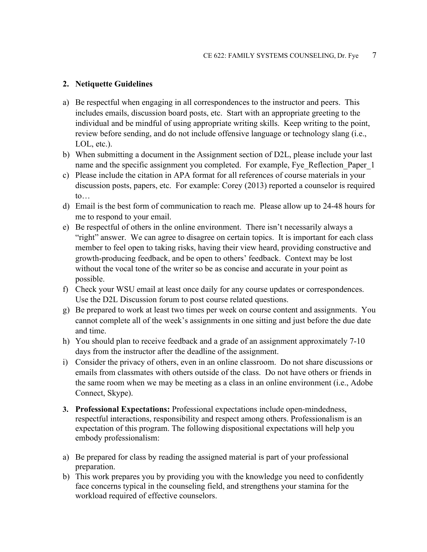### **2. Netiquette Guidelines**

- a) Be respectful when engaging in all correspondences to the instructor and peers. This includes emails, discussion board posts, etc. Start with an appropriate greeting to the individual and be mindful of using appropriate writing skills. Keep writing to the point, review before sending, and do not include offensive language or technology slang (i.e., LOL, etc.).
- b) When submitting a document in the Assignment section of D2L, please include your last name and the specific assignment you completed. For example, Fye\_Reflection\_Paper\_1
- c) Please include the citation in APA format for all references of course materials in your discussion posts, papers, etc. For example: Corey (2013) reported a counselor is required to…
- d) Email is the best form of communication to reach me. Please allow up to 24-48 hours for me to respond to your email.
- e) Be respectful of others in the online environment. There isn't necessarily always a "right" answer. We can agree to disagree on certain topics. It is important for each class member to feel open to taking risks, having their view heard, providing constructive and growth-producing feedback, and be open to others' feedback. Context may be lost without the vocal tone of the writer so be as concise and accurate in your point as possible.
- f) Check your WSU email at least once daily for any course updates or correspondences. Use the D2L Discussion forum to post course related questions.
- g) Be prepared to work at least two times per week on course content and assignments. You cannot complete all of the week's assignments in one sitting and just before the due date and time.
- h) You should plan to receive feedback and a grade of an assignment approximately 7-10 days from the instructor after the deadline of the assignment.
- i) Consider the privacy of others, even in an online classroom. Do not share discussions or emails from classmates with others outside of the class. Do not have others or friends in the same room when we may be meeting as a class in an online environment (i.e., Adobe Connect, Skype).
- **3. Professional Expectations:** Professional expectations include open-mindedness, respectful interactions, responsibility and respect among others. Professionalism is an expectation of this program. The following dispositional expectations will help you embody professionalism:
- a) Be prepared for class by reading the assigned material is part of your professional preparation.
- b) This work prepares you by providing you with the knowledge you need to confidently face concerns typical in the counseling field, and strengthens your stamina for the workload required of effective counselors.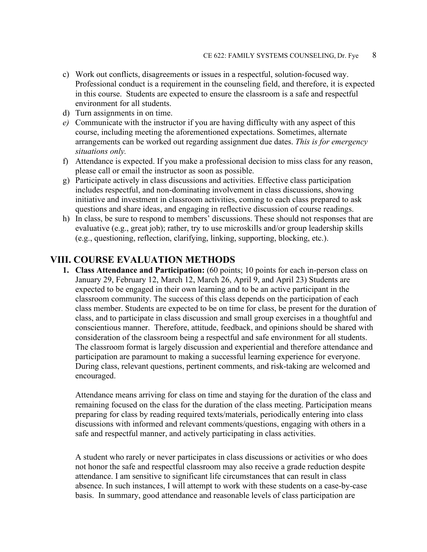- c) Work out conflicts, disagreements or issues in a respectful, solution-focused way. Professional conduct is a requirement in the counseling field, and therefore, it is expected in this course. Students are expected to ensure the classroom is a safe and respectful environment for all students.
- d) Turn assignments in on time.
- *e)* Communicate with the instructor if you are having difficulty with any aspect of this course, including meeting the aforementioned expectations. Sometimes, alternate arrangements can be worked out regarding assignment due dates. *This is for emergency situations only.*
- f) Attendance is expected. If you make a professional decision to miss class for any reason, please call or email the instructor as soon as possible.
- g) Participate actively in class discussions and activities. Effective class participation includes respectful, and non-dominating involvement in class discussions, showing initiative and investment in classroom activities, coming to each class prepared to ask questions and share ideas, and engaging in reflective discussion of course readings.
- h) In class, be sure to respond to members' discussions. These should not responses that are evaluative (e.g., great job); rather, try to use microskills and/or group leadership skills (e.g., questioning, reflection, clarifying, linking, supporting, blocking, etc.).

### **VIII. COURSE EVALUATION METHODS**

**1. Class Attendance and Participation:** (60 points; 10 points for each in-person class on January 29, February 12, March 12, March 26, April 9, and April 23) Students are expected to be engaged in their own learning and to be an active participant in the classroom community. The success of this class depends on the participation of each class member. Students are expected to be on time for class, be present for the duration of class, and to participate in class discussion and small group exercises in a thoughtful and conscientious manner. Therefore, attitude, feedback, and opinions should be shared with consideration of the classroom being a respectful and safe environment for all students. The classroom format is largely discussion and experiential and therefore attendance and participation are paramount to making a successful learning experience for everyone. During class, relevant questions, pertinent comments, and risk-taking are welcomed and encouraged.

Attendance means arriving for class on time and staying for the duration of the class and remaining focused on the class for the duration of the class meeting. Participation means preparing for class by reading required texts/materials, periodically entering into class discussions with informed and relevant comments/questions, engaging with others in a safe and respectful manner, and actively participating in class activities.

A student who rarely or never participates in class discussions or activities or who does not honor the safe and respectful classroom may also receive a grade reduction despite attendance. I am sensitive to significant life circumstances that can result in class absence. In such instances, I will attempt to work with these students on a case-by-case basis. In summary, good attendance and reasonable levels of class participation are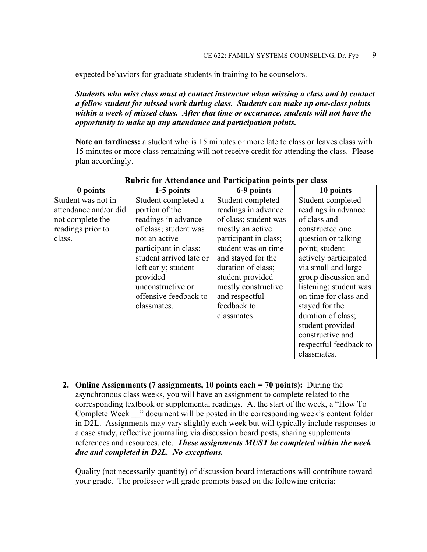expected behaviors for graduate students in training to be counselors.

*Students who miss class must a) contact instructor when missing a class and b) contact a fellow student for missed work during class. Students can make up one-class points within a week of missed class. After that time or occurance, students will not have the opportunity to make up any attendance and participation points.*

**Note on tardiness:** a student who is 15 minutes or more late to class or leaves class with 15 minutes or more class remaining will not receive credit for attending the class. Please plan accordingly.

| 0 points              | 1-5 points              | 6-9 points            | 10 points              |
|-----------------------|-------------------------|-----------------------|------------------------|
| Student was not in    | Student completed a     | Student completed     | Student completed      |
| attendance and/or did | portion of the          | readings in advance   | readings in advance    |
| not complete the      | readings in advance     | of class; student was | of class and           |
| readings prior to     | of class; student was   | mostly an active      | constructed one        |
| class.                | not an active           | participant in class; | question or talking    |
|                       | participant in class;   | student was on time   | point; student         |
|                       | student arrived late or | and stayed for the    | actively participated  |
|                       | left early; student     | duration of class;    | via small and large    |
|                       | provided                | student provided      | group discussion and   |
|                       | unconstructive or       | mostly constructive   | listening; student was |
|                       | offensive feedback to   | and respectful        | on time for class and  |
|                       | classmates.             | feedback to           | stayed for the         |
|                       |                         | classmates.           | duration of class;     |
|                       |                         |                       | student provided       |
|                       |                         |                       | constructive and       |
|                       |                         |                       | respectful feedback to |
|                       |                         |                       | classmates.            |

#### **Rubric for Attendance and Participation points per class**

**2. Online Assignments (7 assignments, 10 points each = 70 points):** During the asynchronous class weeks, you will have an assignment to complete related to the corresponding textbook or supplemental readings. At the start of the week, a "How To Complete Week <sup>2</sup> document will be posted in the corresponding week's content folder in D2L. Assignments may vary slightly each week but will typically include responses to a case study, reflective journaling via discussion board posts, sharing supplemental references and resources, etc. *These assignments MUST be completed within the week due and completed in D2L. No exceptions.* 

Quality (not necessarily quantity) of discussion board interactions will contribute toward your grade. The professor will grade prompts based on the following criteria: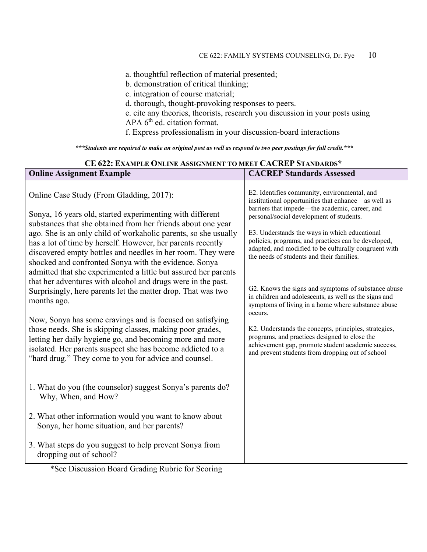a. thoughtful reflection of material presented;

b. demonstration of critical thinking;

c. integration of course material;

d. thorough, thought-provoking responses to peers.

e. cite any theories, theorists, research you discussion in your posts using APA 6<sup>th</sup> ed. citation format.

f. Express professionalism in your discussion-board interactions

*\*\*\*Students are required to make an original post as well as respond to two peer postings for full credit.\*\*\**

| CE 622: EXAMPLE ONLINE ASSIGNMENT TO MEET CACREP STANDARDS*                                                                                                                                                                                                                                                                                                                               |                                                                                                                                                                                                                  |  |  |  |
|-------------------------------------------------------------------------------------------------------------------------------------------------------------------------------------------------------------------------------------------------------------------------------------------------------------------------------------------------------------------------------------------|------------------------------------------------------------------------------------------------------------------------------------------------------------------------------------------------------------------|--|--|--|
| <b>Online Assignment Example</b>                                                                                                                                                                                                                                                                                                                                                          | <b>CACREP Standards Assessed</b>                                                                                                                                                                                 |  |  |  |
| Online Case Study (From Gladding, 2017):<br>Sonya, 16 years old, started experimenting with different                                                                                                                                                                                                                                                                                     | E2. Identifies community, environmental, and<br>institutional opportunities that enhance—as well as<br>barriers that impede—the academic, career, and<br>personal/social development of students.                |  |  |  |
| substances that she obtained from her friends about one year<br>ago. She is an only child of workaholic parents, so she usually<br>has a lot of time by herself. However, her parents recently<br>discovered empty bottles and needles in her room. They were<br>shocked and confronted Sonya with the evidence. Sonya<br>admitted that she experimented a little but assured her parents | E3. Understands the ways in which educational<br>policies, programs, and practices can be developed,<br>adapted, and modified to be culturally congruent with<br>the needs of students and their families.       |  |  |  |
| that her adventures with alcohol and drugs were in the past.<br>Surprisingly, here parents let the matter drop. That was two<br>months ago.                                                                                                                                                                                                                                               | G2. Knows the signs and symptoms of substance abuse<br>in children and adolescents, as well as the signs and<br>symptoms of living in a home where substance abuse<br>occurs.                                    |  |  |  |
| Now, Sonya has some cravings and is focused on satisfying<br>those needs. She is skipping classes, making poor grades,<br>letting her daily hygiene go, and becoming more and more<br>isolated. Her parents suspect she has become addicted to a<br>"hard drug." They come to you for advice and counsel.                                                                                 | K2. Understands the concepts, principles, strategies,<br>programs, and practices designed to close the<br>achievement gap, promote student academic success,<br>and prevent students from dropping out of school |  |  |  |
| 1. What do you (the counselor) suggest Sonya's parents do?<br>Why, When, and How?                                                                                                                                                                                                                                                                                                         |                                                                                                                                                                                                                  |  |  |  |
| 2. What other information would you want to know about<br>Sonya, her home situation, and her parents?                                                                                                                                                                                                                                                                                     |                                                                                                                                                                                                                  |  |  |  |
| 3. What steps do you suggest to help prevent Sonya from<br>dropping out of school?                                                                                                                                                                                                                                                                                                        |                                                                                                                                                                                                                  |  |  |  |

\*See Discussion Board Grading Rubric for Scoring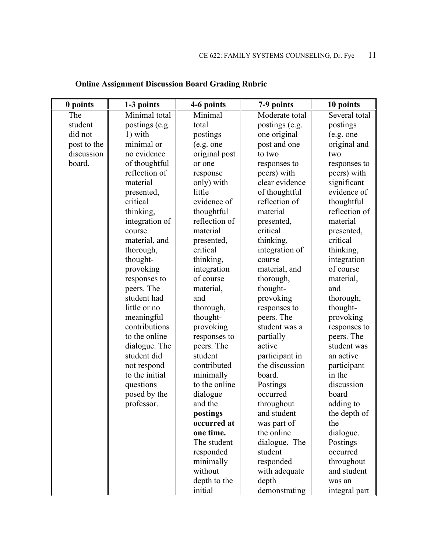| 0 points    | 1-3 points     | 4-6 points    | 7-9 points     | 10 points     |
|-------------|----------------|---------------|----------------|---------------|
| The         | Minimal total  | Minimal       | Moderate total | Several total |
| student     | postings (e.g. | total         | postings (e.g. | postings      |
| did not     | 1) with        | postings      | one original   | (e.g. one     |
| post to the | minimal or     | (e.g. one     | post and one   | original and  |
| discussion  | no evidence    | original post | to two         | two           |
| board.      | of thoughtful  | or one        | responses to   | responses to  |
|             | reflection of  | response      | peers) with    | peers) with   |
|             | material       | only) with    | clear evidence | significant   |
|             | presented,     | little        | of thoughtful  | evidence of   |
|             | critical       | evidence of   | reflection of  | thoughtful    |
|             | thinking,      | thoughtful    | material       | reflection of |
|             | integration of | reflection of | presented,     | material      |
|             | course         | material      | critical       | presented,    |
|             | material, and  | presented,    | thinking,      | critical      |
|             | thorough,      | critical      | integration of | thinking,     |
|             | thought-       | thinking,     | course         | integration   |
|             | provoking      | integration   | material, and  | of course     |
|             | responses to   | of course     | thorough,      | material,     |
|             | peers. The     | material,     | thought-       | and           |
|             | student had    | and           | provoking      | thorough,     |
|             | little or no   | thorough,     | responses to   | thought-      |
|             | meaningful     | thought-      | peers. The     | provoking     |
|             | contributions  | provoking     | student was a  | responses to  |
|             | to the online  | responses to  | partially      | peers. The    |
|             | dialogue. The  | peers. The    | active         | student was   |
|             | student did    | student       | participant in | an active     |
|             | not respond    | contributed   | the discussion | participant   |
|             | to the initial | minimally     | board.         | in the        |
|             | questions      | to the online | Postings       | discussion    |
|             | posed by the   | dialogue      | occurred       | board         |
|             | professor.     | and the       | throughout     | adding to     |
|             |                | postings      | and student    | the depth of  |
|             |                | occurred at   | was part of    | the           |
|             |                | one time.     | the online     | dialogue.     |
|             |                | The student   | dialogue. The  | Postings      |
|             |                | responded     | student        | occurred      |
|             |                | minimally     | responded      | throughout    |
|             |                | without       | with adequate  | and student   |
|             |                | depth to the  | depth          | was an        |
|             |                | initial       | demonstrating  | integral part |

# **Online Assignment Discussion Board Grading Rubric**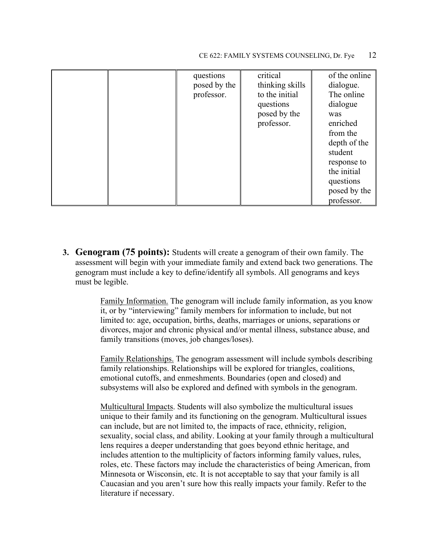|  | questions<br>posed by the<br>professor. | critical<br>thinking skills<br>to the initial<br>questions<br>posed by the<br>professor. | of the online<br>dialogue.<br>The online<br>dialogue<br>was<br>enriched<br>from the<br>depth of the<br>student<br>response to<br>the initial<br>questions<br>posed by the |
|--|-----------------------------------------|------------------------------------------------------------------------------------------|---------------------------------------------------------------------------------------------------------------------------------------------------------------------------|
|  |                                         |                                                                                          | professor.                                                                                                                                                                |

**3. Genogram (75 points):** Students will create a genogram of their own family. The assessment will begin with your immediate family and extend back two generations. The genogram must include a key to define/identify all symbols. All genograms and keys must be legible.

> Family Information. The genogram will include family information, as you know it, or by "interviewing" family members for information to include, but not limited to: age, occupation, births, deaths, marriages or unions, separations or divorces, major and chronic physical and/or mental illness, substance abuse, and family transitions (moves, job changes/loses).

> Family Relationships. The genogram assessment will include symbols describing family relationships. Relationships will be explored for triangles, coalitions, emotional cutoffs, and enmeshments. Boundaries (open and closed) and subsystems will also be explored and defined with symbols in the genogram.

> Multicultural Impacts. Students will also symbolize the multicultural issues unique to their family and its functioning on the genogram. Multicultural issues can include, but are not limited to, the impacts of race, ethnicity, religion, sexuality, social class, and ability. Looking at your family through a multicultural lens requires a deeper understanding that goes beyond ethnic heritage, and includes attention to the multiplicity of factors informing family values, rules, roles, etc. These factors may include the characteristics of being American, from Minnesota or Wisconsin, etc. It is not acceptable to say that your family is all Caucasian and you aren't sure how this really impacts your family. Refer to the literature if necessary.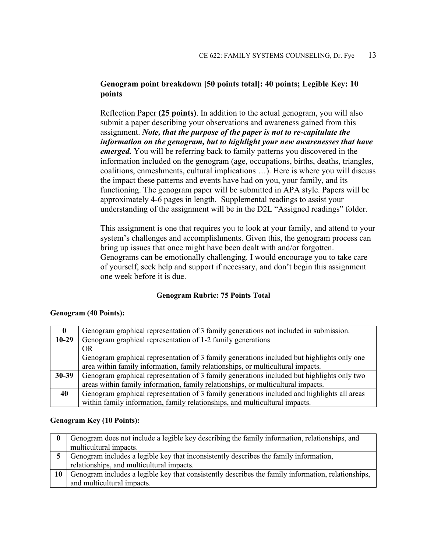### **Genogram point breakdown [50 points total]: 40 points; Legible Key: 10 points**

Reflection Paper **(25 points)**. In addition to the actual genogram, you will also submit a paper describing your observations and awareness gained from this assignment. *Note, that the purpose of the paper is not to re-capitulate the information on the genogram, but to highlight your new awarenesses that have emerged.* You will be referring back to family patterns you discovered in the information included on the genogram (age, occupations, births, deaths, triangles, coalitions, enmeshments, cultural implications …). Here is where you will discuss the impact these patterns and events have had on you, your family, and its functioning. The genogram paper will be submitted in APA style. Papers will be approximately 4-6 pages in length. Supplemental readings to assist your understanding of the assignment will be in the D2L "Assigned readings" folder.

This assignment is one that requires you to look at your family, and attend to your system's challenges and accomplishments. Given this, the genogram process can bring up issues that once might have been dealt with and/or forgotten. Genograms can be emotionally challenging. I would encourage you to take care of yourself, seek help and support if necessary, and don't begin this assignment one week before it is due.

### **Genogram Rubric: 75 Points Total**

### **Genogram (40 Points):**

| $\mathbf{0}$ | Genogram graphical representation of 3 family generations not included in submission.       |
|--------------|---------------------------------------------------------------------------------------------|
| $10-29$      | Genogram graphical representation of 1-2 family generations                                 |
|              | OR.                                                                                         |
|              | Genogram graphical representation of 3 family generations included but highlights only one  |
|              | area within family information, family relationships, or multicultural impacts.             |
| $30 - 39$    | Genogram graphical representation of 3 family generations included but highlights only two  |
|              | areas within family information, family relationships, or multicultural impacts.            |
| 40           | Genogram graphical representation of 3 family generations included and highlights all areas |
|              | within family information, family relationships, and multicultural impacts.                 |

#### **Genogram Key (10 Points):**

| $\mathbf{0}$ | Genogram does not include a legible key describing the family information, relationships, and      |
|--------------|----------------------------------------------------------------------------------------------------|
|              | multicultural impacts.                                                                             |
|              | Genogram includes a legible key that inconsistently describes the family information,              |
|              | relationships, and multicultural impacts.                                                          |
| 10           | Genogram includes a legible key that consistently describes the family information, relationships, |
|              | and multicultural impacts.                                                                         |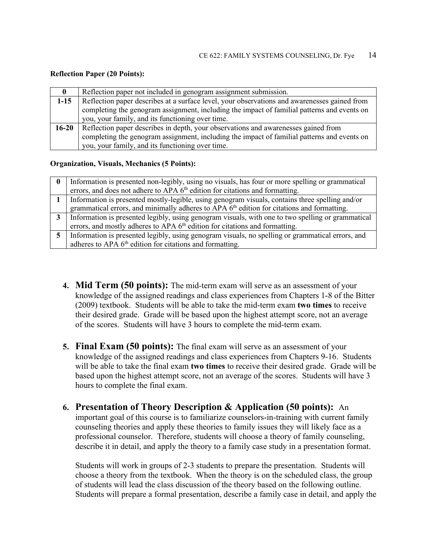#### **Reflection Paper (20 Points):**

| 0         | Reflection paper not included in genogram assignment submission.                             |  |  |
|-----------|----------------------------------------------------------------------------------------------|--|--|
| $1-15$    | Reflection paper describes at a surface level, your observations and awarenesses gained from |  |  |
|           | completing the genogram assignment, including the impact of familial patterns and events on  |  |  |
|           | you, your family, and its functioning over time.                                             |  |  |
| $16 - 20$ | Reflection paper describes in depth, your observations and awarenesses gained from           |  |  |
|           | completing the genogram assignment, including the impact of familial patterns and events on  |  |  |
|           | you, your family, and its functioning over time.                                             |  |  |

#### **Organization, Visuals, Mechanics (5 Points):**

| $\mathbf{0}$   | Information is presented non-legibly, using no visuals, has four or more spelling or grammatical       |  |  |
|----------------|--------------------------------------------------------------------------------------------------------|--|--|
|                | errors, and does not adhere to APA 6 <sup>th</sup> edition for citations and formatting.               |  |  |
|                | Information is presented mostly-legible, using genogram visuals, contains three spelling and/or        |  |  |
|                | grammatical errors, and minimally adheres to APA 6 <sup>th</sup> edition for citations and formatting. |  |  |
| 3 <sup>1</sup> | Information is presented legibly, using genogram visuals, with one to two spelling or grammatical      |  |  |
|                | errors, and mostly adheres to APA 6 <sup>th</sup> edition for citations and formatting.                |  |  |
| 5 <sup>1</sup> | Information is presented legibly, using genogram visuals, no spelling or grammatical errors, and       |  |  |
|                | adheres to APA 6 <sup>th</sup> edition for citations and formatting.                                   |  |  |

- **4. Mid Term (50 points):** The mid-term exam will serve as an assessment of your knowledge of the assigned readings and class experiences from Chapters 1-8 of the Bitter (2009) textbook. Students will be able to take the mid-term exam **two times** to receive their desired grade. Grade will be based upon the highest attempt score, not an average of the scores. Students will have 3 hours to complete the mid-term exam.
- **5. Final Exam (50 points):** The final exam will serve as an assessment of your knowledge of the assigned readings and class experiences from Chapters 9-16. Students will be able to take the final exam **two times** to receive their desired grade. Grade will be based upon the highest attempt score, not an average of the scores. Students will have 3 hours to complete the final exam.
- **6. Presentation of Theory Description & Application (50 points):** An important goal of this course is to familiarize counselors-in-training with current family counseling theories and apply these theories to family issues they will likely face as a professional counselor. Therefore, students will choose a theory of family counseling, describe it in detail, and apply the theory to a family case study in a presentation format.

Students will work in groups of 2-3 students to prepare the presentation. Students will choose a theory from the textbook. When the theory is on the scheduled class, the group of students will lead the class discussion of the theory based on the following outline. Students will prepare a formal presentation, describe a family case in detail, and apply the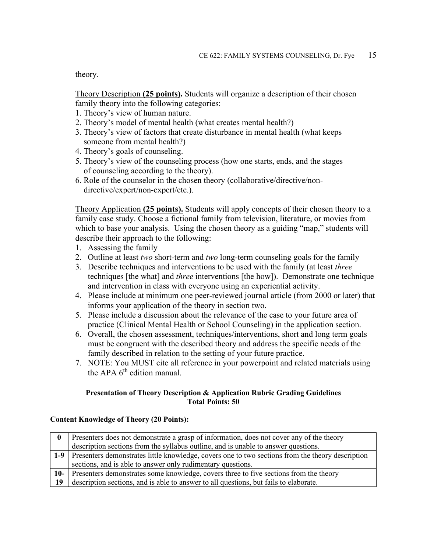theory.

Theory Description **(25 points).** Students will organize a description of their chosen family theory into the following categories:

- 1. Theory's view of human nature.
- 2. Theory's model of mental health (what creates mental health?)
- 3. Theory's view of factors that create disturbance in mental health (what keeps someone from mental health?)
- 4. Theory's goals of counseling.
- 5. Theory's view of the counseling process (how one starts, ends, and the stages of counseling according to the theory).
- 6. Role of the counselor in the chosen theory (collaborative/directive/non directive/expert/non-expert/etc.).

Theory Application **(25 points).** Students will apply concepts of their chosen theory to a family case study. Choose a fictional family from television, literature, or movies from which to base your analysis. Using the chosen theory as a guiding "map," students will describe their approach to the following:

- 1. Assessing the family
- 2. Outline at least *two* short-term and *two* long-term counseling goals for the family
- 3. Describe techniques and interventions to be used with the family (at least *three* techniques [the what] and *three* interventions [the how]). Demonstrate one technique and intervention in class with everyone using an experiential activity.
- 4. Please include at minimum one peer-reviewed journal article (from 2000 or later) that informs your application of the theory in section two.
- 5. Please include a discussion about the relevance of the case to your future area of practice (Clinical Mental Health or School Counseling) in the application section.
- 6. Overall, the chosen assessment, techniques/interventions, short and long term goals must be congruent with the described theory and address the specific needs of the family described in relation to the setting of your future practice.
- 7. NOTE: You MUST cite all reference in your powerpoint and related materials using the APA 6<sup>th</sup> edition manual.

### **Presentation of Theory Description & Application Rubric Grading Guidelines Total Points: 50**

#### **Content Knowledge of Theory (20 Points):**

|                    | Presenters does not demonstrate a grasp of information, does not cover any of the theory             |  |  |
|--------------------|------------------------------------------------------------------------------------------------------|--|--|
|                    | description sections from the syllabus outline, and is unable to answer questions.                   |  |  |
|                    | 1-9 Presenters demonstrates little knowledge, covers one to two sections from the theory description |  |  |
|                    | sections, and is able to answer only rudimentary questions.                                          |  |  |
| 10- $\blacksquare$ | Presenters demonstrates some knowledge, covers three to five sections from the theory                |  |  |
| 19                 | description sections, and is able to answer to all questions, but fails to elaborate.                |  |  |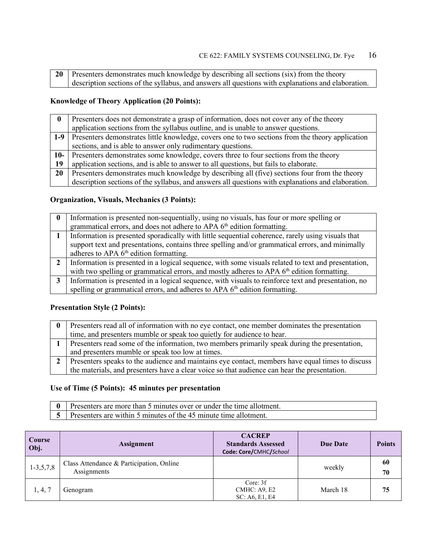| 20   Presenters demonstrates much knowledge by describing all sections (six) from the theory       |  |  |
|----------------------------------------------------------------------------------------------------|--|--|
| description sections of the syllabus, and answers all questions with explanations and elaboration. |  |  |

### **Knowledge of Theory Application (20 Points):**

|        | Presenters does not demonstrate a grasp of information, does not cover any of the theory           |  |  |  |
|--------|----------------------------------------------------------------------------------------------------|--|--|--|
|        | application sections from the syllabus outline, and is unable to answer questions.                 |  |  |  |
| $1-9$  | Presenters demonstrates little knowledge, covers one to two sections from the theory application   |  |  |  |
|        | sections, and is able to answer only rudimentary questions.                                        |  |  |  |
| $10-1$ | Presenters demonstrates some knowledge, covers three to four sections from the theory              |  |  |  |
| 19     | application sections, and is able to answer to all questions, but fails to elaborate.              |  |  |  |
| 20     | Presenters demonstrates much knowledge by describing all (five) sections four from the theory      |  |  |  |
|        | description sections of the syllabus, and answers all questions with explanations and elaboration. |  |  |  |

### **Organization, Visuals, Mechanics (3 Points):**

| $\mathbf{0}$ | Information is presented non-sequentially, using no visuals, has four or more spelling or              |  |  |
|--------------|--------------------------------------------------------------------------------------------------------|--|--|
|              | grammatical errors, and does not adhere to APA 6 <sup>th</sup> edition formatting.                     |  |  |
|              | Information is presented sporadically with little sequential coherence, rarely using visuals that      |  |  |
|              | support text and presentations, contains three spelling and/or grammatical errors, and minimally       |  |  |
|              | adheres to APA $6th$ edition formatting.                                                               |  |  |
| $\mathbf{2}$ | Information is presented in a logical sequence, with some visuals related to text and presentation,    |  |  |
|              | with two spelling or grammatical errors, and mostly adheres to APA 6 <sup>th</sup> edition formatting. |  |  |
| 3            | Information is presented in a logical sequence, with visuals to reinforce text and presentation, no    |  |  |
|              | spelling or grammatical errors, and adheres to APA 6 <sup>th</sup> edition formatting.                 |  |  |

### **Presentation Style (2 Points):**

| Presenters read all of information with no eye contact, one member dominates the presentation    |  |  |
|--------------------------------------------------------------------------------------------------|--|--|
| time, and presenters mumble or speak too quietly for audience to hear.                           |  |  |
| Presenters read some of the information, two members primarily speak during the presentation,    |  |  |
| and presenters mumble or speak too low at times.                                                 |  |  |
| Presenters speaks to the audience and maintains eye contact, members have equal times to discuss |  |  |
| the materials, and presenters have a clear voice so that audience can hear the presentation.     |  |  |

### **Use of Time (5 Points): 45 minutes per presentation**

| $\begin{bmatrix} 0 \\ 0 \end{bmatrix}$ Presenters are more than 5 minutes over or under the time allotment. |
|-------------------------------------------------------------------------------------------------------------|
| 5 Presenters are within 5 minutes of the 45 minute time allotment.                                          |

| Course<br>Obj. | Assignment                                              | <b>CACREP</b><br><b>Standards Assessed</b><br>Code: Core/CMHC/School | <b>Due Date</b> | <b>Points</b> |
|----------------|---------------------------------------------------------|----------------------------------------------------------------------|-----------------|---------------|
| $1-3, 5, 7, 8$ | Class Attendance & Participation, Online<br>Assignments |                                                                      | weekly          | 60<br>70      |
| 1, 4, 7        | Genogram                                                | Core: 3f<br>CMHC: A9, E2<br>SC: A6, E1, E4                           | March 18        | 75            |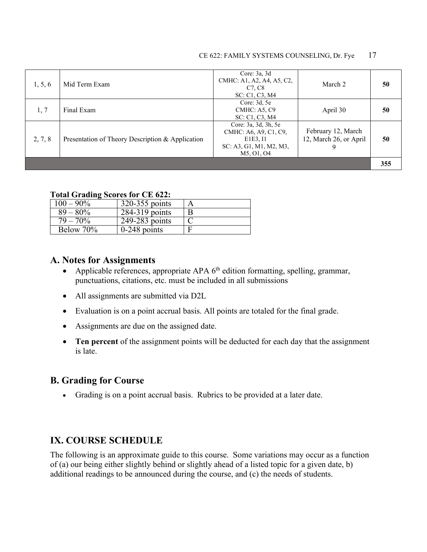| 1, 5, 6 | Mid Term Exam                                    | Core: $3a$ , $3d$<br>CMHC: A1, A2, A4, A5, C2,<br>C7, C8<br>SC: C1, C3, M4                         | March 2                                      | 50  |
|---------|--------------------------------------------------|----------------------------------------------------------------------------------------------------|----------------------------------------------|-----|
| 1, 7    | Final Exam                                       | Core: $3d, 5e$<br>CMHC: A5, C9<br>SC: C1, C3, M4                                                   | April 30                                     | 50  |
| 2, 7, 8 | Presentation of Theory Description & Application | Core: 3a, 3d, 3h, 5e<br>CMHC: A6, A9, C1, C9,<br>E1E3, I1<br>SC: A3, G1, M1, M2, M3,<br>M5, O1, O4 | February 12, March<br>12, March 26, or April | 50  |
|         |                                                  |                                                                                                    |                                              | 355 |

### **Total Grading Scores for CE 622:**

| $100 - 90\%$ | 320-355 points | А |
|--------------|----------------|---|
| $89 - 80\%$  | 284-319 points | B |
| $79 - 70\%$  | 249-283 points |   |
| Below 70%    | $0-248$ points | F |

### **A. Notes for Assignments**

- Applicable references, appropriate APA  $6<sup>th</sup>$  edition formatting, spelling, grammar, punctuations, citations, etc. must be included in all submissions
- All assignments are submitted via D2L
- Evaluation is on a point accrual basis. All points are totaled for the final grade.
- Assignments are due on the assigned date.
- **Ten percent** of the assignment points will be deducted for each day that the assignment is late.

### **B. Grading for Course**

• Grading is on a point accrual basis. Rubrics to be provided at a later date.

## **IX. COURSE SCHEDULE**

The following is an approximate guide to this course. Some variations may occur as a function of (a) our being either slightly behind or slightly ahead of a listed topic for a given date, b) additional readings to be announced during the course, and (c) the needs of students.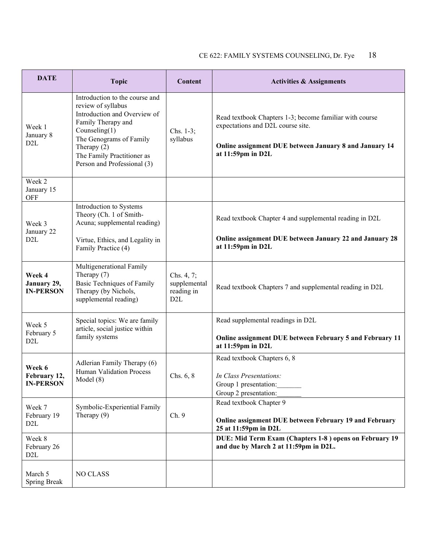| <b>DATE</b>                                | <b>Topic</b>                                                                                                                                                                                                                            | Content                                                      | <b>Activities &amp; Assignments</b>                                                                                                                                         |
|--------------------------------------------|-----------------------------------------------------------------------------------------------------------------------------------------------------------------------------------------------------------------------------------------|--------------------------------------------------------------|-----------------------------------------------------------------------------------------------------------------------------------------------------------------------------|
| Week 1<br>January 8<br>D <sub>2</sub> L    | Introduction to the course and<br>review of syllabus<br>Introduction and Overview of<br>Family Therapy and<br>Counseling $(1)$<br>The Genograms of Family<br>Therapy $(2)$<br>The Family Practitioner as<br>Person and Professional (3) | Chs. 1-3;<br>syllabus                                        | Read textbook Chapters 1-3; become familiar with course<br>expectations and D2L course site.<br>Online assignment DUE between January 8 and January 14<br>at 11:59pm in D2L |
| Week 2<br>January 15<br><b>OFF</b>         |                                                                                                                                                                                                                                         |                                                              |                                                                                                                                                                             |
| Week 3<br>January 22                       | Introduction to Systems<br>Theory (Ch. 1 of Smith-<br>Acuna; supplemental reading)                                                                                                                                                      |                                                              | Read textbook Chapter 4 and supplemental reading in D2L                                                                                                                     |
| D <sub>2</sub> L                           | Virtue, Ethics, and Legality in<br>Family Practice (4)                                                                                                                                                                                  |                                                              | Online assignment DUE between January 22 and January 28<br>at 11:59pm in D2L                                                                                                |
| Week 4<br>January 29,<br><b>IN-PERSON</b>  | Multigenerational Family<br>Therapy (7)<br>Basic Techniques of Family<br>Therapy (by Nichols,<br>supplemental reading)                                                                                                                  | Chs. 4, 7;<br>supplemental<br>reading in<br>D <sub>2</sub> L | Read textbook Chapters 7 and supplemental reading in D2L                                                                                                                    |
| Week 5<br>February 5<br>D <sub>2</sub> L   | Special topics: We are family<br>article, social justice within<br>family systems                                                                                                                                                       |                                                              | Read supplemental readings in D2L<br>Online assignment DUE between February 5 and February 11<br>at 11:59pm in D2L                                                          |
| Week 6<br>February 12,<br><b>IN-PERSON</b> | Adlerian Family Therapy (6)<br><b>Human Validation Process</b><br>Model $(8)$                                                                                                                                                           | Chs. $6, 8$                                                  | Read textbook Chapters 6, 8<br>In Class Presentations:<br>Group 1 presentation:<br>Group 2 presentation:                                                                    |
| Week 7<br>February 19<br>D <sub>2</sub> L  | Symbolic-Experiential Family<br>Therapy $(9)$                                                                                                                                                                                           | Ch. 9                                                        | Read textbook Chapter 9<br>Online assignment DUE between February 19 and February<br>25 at 11:59pm in D2L                                                                   |
| Week 8<br>February 26<br>D <sub>2</sub> L  |                                                                                                                                                                                                                                         |                                                              | DUE: Mid Term Exam (Chapters 1-8) opens on February 19<br>and due by March 2 at 11:59pm in D2L.                                                                             |
| March 5<br><b>Spring Break</b>             | NO CLASS                                                                                                                                                                                                                                |                                                              |                                                                                                                                                                             |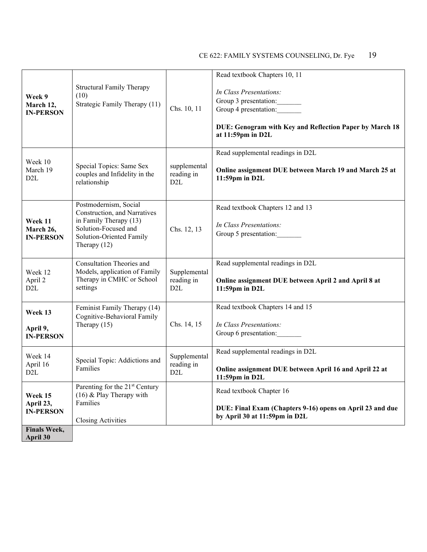| Week 9<br>March 12,<br><b>IN-PERSON</b>  | <b>Structural Family Therapy</b><br>(10)<br>Strategic Family Therapy (11)                                                                             | Chs. 10, 11                                    | Read textbook Chapters 10, 11<br>In Class Presentations:<br>Group 3 presentation:<br>Group 4 presentation:<br>DUE: Genogram with Key and Reflection Paper by March 18<br>at 11:59pm in D2L |
|------------------------------------------|-------------------------------------------------------------------------------------------------------------------------------------------------------|------------------------------------------------|--------------------------------------------------------------------------------------------------------------------------------------------------------------------------------------------|
| Week 10<br>March 19<br>D <sub>2</sub> L  | Special Topics: Same Sex<br>couples and Infidelity in the<br>relationship                                                                             | supplemental<br>reading in<br>D <sub>2</sub> L | Read supplemental readings in D2L<br>Online assignment DUE between March 19 and March 25 at<br>11:59pm in D2L                                                                              |
| Week 11<br>March 26,<br><b>IN-PERSON</b> | Postmodernism, Social<br>Construction, and Narratives<br>in Family Therapy (13)<br>Solution-Focused and<br>Solution-Oriented Family<br>Therapy $(12)$ | Chs. 12, 13                                    | Read textbook Chapters 12 and 13<br>In Class Presentations:<br>Group 5 presentation:                                                                                                       |
| Week 12<br>April 2<br>D2L                | Consultation Theories and<br>Models, application of Family<br>Therapy in CMHC or School<br>settings                                                   | Supplemental<br>reading in<br>D2L              | Read supplemental readings in D2L<br>Online assignment DUE between April 2 and April 8 at<br>11:59pm in D2L                                                                                |
| Week 13<br>April 9,<br><b>IN-PERSON</b>  | Feminist Family Therapy (14)<br>Cognitive-Behavioral Family<br>Therapy $(15)$                                                                         | Chs. 14, 15                                    | Read textbook Chapters 14 and 15<br>In Class Presentations:<br>Group 6 presentation:                                                                                                       |
| Week 14<br>April 16<br>D2L               | Special Topic: Addictions and<br>Families                                                                                                             | Supplemental<br>reading in<br>D <sub>2</sub> L | Read supplemental readings in D2L<br>Online assignment DUE between April 16 and April 22 at<br>$11:59$ pm in $D2L$                                                                         |
| Week 15<br>April 23,<br><b>IN-PERSON</b> | Parenting for the 21 <sup>st</sup> Century<br>(16) & Play Therapy with<br>Families<br><b>Closing Activities</b>                                       |                                                | Read textbook Chapter 16<br>DUE: Final Exam (Chapters 9-16) opens on April 23 and due<br>by April 30 at 11:59pm in D2L                                                                     |
| <b>Finals Week,</b><br>April 30          |                                                                                                                                                       |                                                |                                                                                                                                                                                            |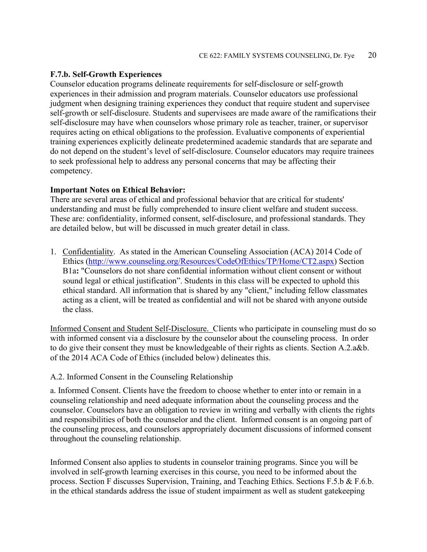#### **F.7.b. Self-Growth Experiences**

Counselor education programs delineate requirements for self-disclosure or self-growth experiences in their admission and program materials. Counselor educators use professional judgment when designing training experiences they conduct that require student and supervisee self-growth or self-disclosure. Students and supervisees are made aware of the ramifications their self-disclosure may have when counselors whose primary role as teacher, trainer, or supervisor requires acting on ethical obligations to the profession. Evaluative components of experiential training experiences explicitly delineate predetermined academic standards that are separate and do not depend on the student's level of self-disclosure. Counselor educators may require trainees to seek professional help to address any personal concerns that may be affecting their competency.

### **Important Notes on Ethical Behavior:**

There are several areas of ethical and professional behavior that are critical for students' understanding and must be fully comprehended to insure client welfare and student success. These are: confidentiality, informed consent, self-disclosure, and professional standards. They are detailed below, but will be discussed in much greater detail in class.

1. Confidentiality. As stated in the American Counseling Association (ACA) 2014 Code of Ethics [\(http://www.counseling.org/Resources/CodeOfEthics/TP/Home/CT2.aspx\)](http://www.counseling.org/Resources/CodeOfEthics/TP/Home/CT2.aspx) Section B1a**:** "Counselors do not share confidential information without client consent or without sound legal or ethical justification". Students in this class will be expected to uphold this ethical standard. All information that is shared by any "client," including fellow classmates acting as a client, will be treated as confidential and will not be shared with anyone outside the class.

Informed Consent and Student Self-Disclosure. Clients who participate in counseling must do so with informed consent via a disclosure by the counselor about the counseling process. In order to do give their consent they must be knowledgeable of their rights as clients. Section A.2.a&b. of the 2014 ACA Code of Ethics (included below) delineates this.

#### A.2. Informed Consent in the Counseling Relationship

a. Informed Consent. Clients have the freedom to choose whether to enter into or remain in a counseling relationship and need adequate information about the counseling process and the counselor. Counselors have an obligation to review in writing and verbally with clients the rights and responsibilities of both the counselor and the client. Informed consent is an ongoing part of the counseling process, and counselors appropriately document discussions of informed consent throughout the counseling relationship.

Informed Consent also applies to students in counselor training programs. Since you will be involved in self-growth learning exercises in this course, you need to be informed about the process. Section F discusses Supervision, Training, and Teaching Ethics. Sections F.5.b & F.6.b. in the ethical standards address the issue of student impairment as well as student gatekeeping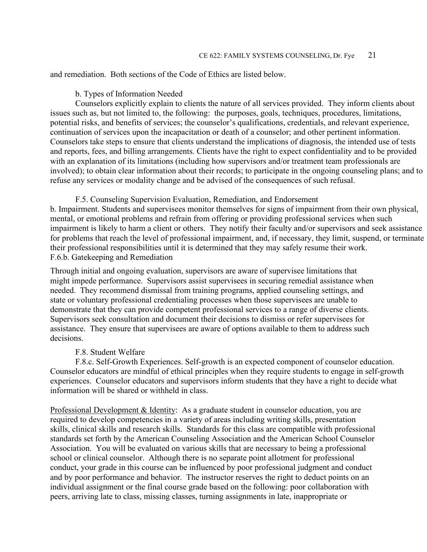and remediation. Both sections of the Code of Ethics are listed below.

#### b. Types of Information Needed

Counselors explicitly explain to clients the nature of all services provided. They inform clients about issues such as, but not limited to, the following: the purposes, goals, techniques, procedures, limitations, potential risks, and benefits of services; the counselor's qualifications, credentials, and relevant experience, continuation of services upon the incapacitation or death of a counselor; and other pertinent information. Counselors take steps to ensure that clients understand the implications of diagnosis, the intended use of tests and reports, fees, and billing arrangements. Clients have the right to expect confidentiality and to be provided with an explanation of its limitations (including how supervisors and/or treatment team professionals are involved); to obtain clear information about their records; to participate in the ongoing counseling plans; and to refuse any services or modality change and be advised of the consequences of such refusal.

F.5. Counseling Supervision Evaluation, Remediation, and Endorsement b. Impairment. Students and supervisees monitor themselves for signs of impairment from their own physical, mental, or emotional problems and refrain from offering or providing professional services when such impairment is likely to harm a client or others. They notify their faculty and/or supervisors and seek assistance for problems that reach the level of professional impairment, and, if necessary, they limit, suspend, or terminate their professional responsibilities until it is determined that they may safely resume their work. F.6.b. Gatekeeping and Remediation

Through initial and ongoing evaluation, supervisors are aware of supervisee limitations that might impede performance. Supervisors assist supervisees in securing remedial assistance when needed. They recommend dismissal from training programs, applied counseling settings, and state or voluntary professional credentialing processes when those supervisees are unable to demonstrate that they can provide competent professional services to a range of diverse clients. Supervisors seek consultation and document their decisions to dismiss or refer supervisees for assistance. They ensure that supervisees are aware of options available to them to address such decisions.

#### F.8. Student Welfare

F.8.c. Self-Growth Experiences. Self-growth is an expected component of counselor education. Counselor educators are mindful of ethical principles when they require students to engage in self-growth experiences. Counselor educators and supervisors inform students that they have a right to decide what information will be shared or withheld in class.

Professional Development & Identity: As a graduate student in counselor education, you are required to develop competencies in a variety of areas including writing skills, presentation skills, clinical skills and research skills. Standards for this class are compatible with professional standards set forth by the American Counseling Association and the American School Counselor Association. You will be evaluated on various skills that are necessary to being a professional school or clinical counselor. Although there is no separate point allotment for professional conduct, your grade in this course can be influenced by poor professional judgment and conduct and by poor performance and behavior. The instructor reserves the right to deduct points on an individual assignment or the final course grade based on the following: poor collaboration with peers, arriving late to class, missing classes, turning assignments in late, inappropriate or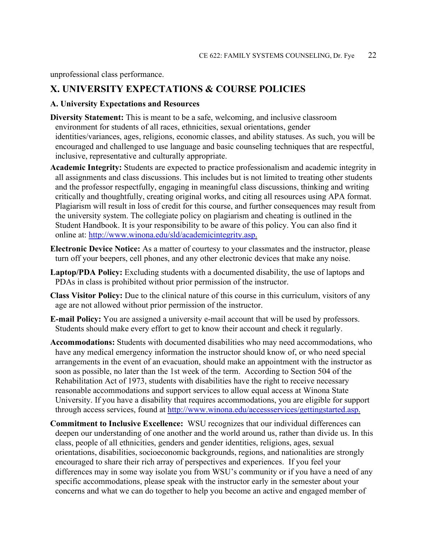unprofessional class performance.

### **X. UNIVERSITY EXPECTATIONS & COURSE POLICIES**

#### **A. University Expectations and Resources**

- **Diversity Statement:** This is meant to be a safe, welcoming, and inclusive classroom environment for students of all races, ethnicities, sexual orientations, gender identities/variances, ages, religions, economic classes, and ability statuses. As such, you will be encouraged and challenged to use language and basic counseling techniques that are respectful, inclusive, representative and culturally appropriate.
- **Academic Integrity:** Students are expected to practice professionalism and academic integrity in all assignments and class discussions. This includes but is not limited to treating other students and the professor respectfully, engaging in meaningful class discussions, thinking and writing critically and thoughtfully, creating original works, and citing all resources using APA format. Plagiarism will result in loss of credit for this course, and further consequences may result from the university system. The collegiate policy on plagiarism and cheating is outlined in the Student Handbook. It is your responsibility to be aware of this policy. You can also find it online at: [http://www.winona.edu/sld/academicintegrity.asp.](http://www.winona.edu/sld/academicintegrity.asp)
- **Electronic Device Notice:** As a matter of courtesy to your classmates and the instructor, please turn off your beepers, cell phones, and any other electronic devices that make any noise.
- **Laptop/PDA Policy:** Excluding students with a documented disability, the use of laptops and PDAs in class is prohibited without prior permission of the instructor.
- **Class Visitor Policy:** Due to the clinical nature of this course in this curriculum, visitors of any age are not allowed without prior permission of the instructor.
- **E-mail Policy:** You are assigned a university e-mail account that will be used by professors. Students should make every effort to get to know their account and check it regularly.
- **Accommodations:** Students with documented disabilities who may need accommodations, who have any medical emergency information the instructor should know of, or who need special arrangements in the event of an evacuation, should make an appointment with the instructor as soon as possible, no later than the 1st week of the term. According to Section 504 of the Rehabilitation Act of 1973, students with disabilities have the right to receive necessary reasonable accommodations and support services to allow equal access at Winona State University. If you have a disability that requires accommodations, you are eligible for support through access services, found at [http://www.winona.edu/accessservices/gettingstarted.asp.](http://www.winona.edu/accessservices/gettingstarted.asp)
- **Commitment to Inclusive Excellence:** WSU recognizes that our individual differences can deepen our understanding of one another and the world around us, rather than divide us. In this class, people of all ethnicities, genders and gender identities, religions, ages, sexual orientations, disabilities, socioeconomic backgrounds, regions, and nationalities are strongly encouraged to share their rich array of perspectives and experiences. If you feel your differences may in some way isolate you from WSU's community or if you have a need of any specific accommodations, please speak with the instructor early in the semester about your concerns and what we can do together to help you become an active and engaged member of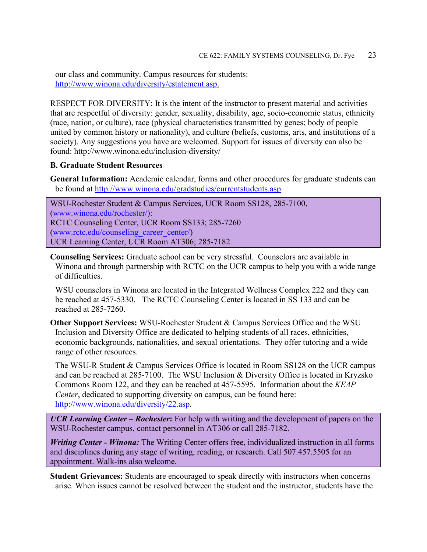our class and community. Campus resources for students: [http://www.winona.edu/diversity/estatement.asp.](http://www.winona.edu/diversity/estatement.asp)

RESPECT FOR DIVERSITY: It is the intent of the instructor to present material and activities that are respectful of diversity: gender, sexuality, disability, age, socio-economic status, ethnicity (race, nation, or culture), race (physical characteristics transmitted by genes; body of people united by common history or nationality), and culture (beliefs, customs, arts, and institutions of a society). Any suggestions you have are welcomed. Support for issues of diversity can also be found: http://www.winona.edu/inclusion-diversity/

### **B. Graduate Student Resources**

**General Information:** Academic calendar, forms and other procedures for graduate students can be found at<http://www.winona.edu/gradstudies/currentstudents.asp>

WSU-Rochester Student & Campus Services, UCR Room SS128, 285-7100, [\(www.winona.edu/rochester/\)](http://www.winona.edu/rochester/): RCTC Counseling Center, UCR Room SS133; 285-7260 [\(www.rctc.edu/counseling\\_career\\_center/\)](http://www.rctc.edu/counseling_career_center/) UCR Learning Center, UCR Room AT306; 285-7182

**Counseling Services:** Graduate school can be very stressful. Counselors are available in Winona and through partnership with RCTC on the UCR campus to help you with a wide range of difficulties.

WSU counselors in Winona are located in the Integrated Wellness Complex 222 and they can be reached at 457-5330. The RCTC Counseling Center is located in SS 133 and can be reached at 285-7260.

**Other Support Services:** WSU-Rochester Student & Campus Services Office and the WSU Inclusion and Diversity Office are dedicated to helping students of all races, ethnicities, economic backgrounds, nationalities, and sexual orientations. They offer tutoring and a wide range of other resources.

The WSU-R Student & Campus Services Office is located in Room SS128 on the UCR campus and can be reached at 285-7100. The WSU Inclusion & Diversity Office is located in Kryzsko Commons Room 122, and they can be reached at 457-5595. Information about the *KEAP Center*, dedicated to supporting diversity on campus, can be found here: [http://www.winona.edu/diversity/22.asp.](http://www.winona.edu/diversity/22.asp)

*UCR Learning Center – Rochester***:** For help with writing and the development of papers on the WSU-Rochester campus, contact personnel in AT306 or call 285-7182.

*Writing Center - Winona:* The Writing Center offers free, individualized instruction in all forms and disciplines during any stage of writing, reading, or research. Call 507.457.5505 for an appointment. Walk-ins also welcome.

**Student Grievances:** Students are encouraged to speak directly with instructors when concerns arise. When issues cannot be resolved between the student and the instructor, students have the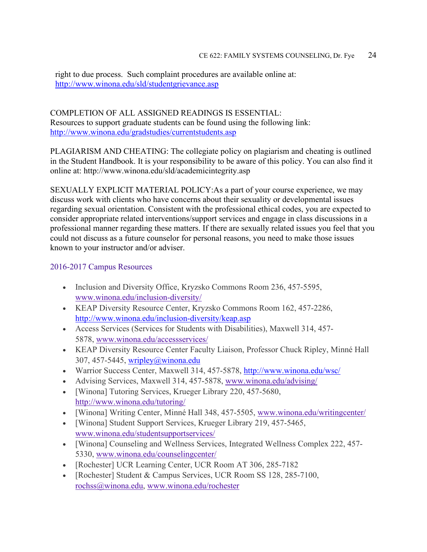right to due process. Such complaint procedures are available online at: <http://www.winona.edu/sld/studentgrievance.asp>

### COMPLETION OF ALL ASSIGNED READINGS IS ESSENTIAL: Resources to support graduate students can be found using the following link: <http://www.winona.edu/gradstudies/currentstudents.asp>

PLAGIARISM AND CHEATING: The collegiate policy on plagiarism and cheating is outlined in the Student Handbook. It is your responsibility to be aware of this policy. You can also find it online at: http://www.winona.edu/sld/academicintegrity.asp

SEXUALLY EXPLICIT MATERIAL POLICY:As a part of your course experience, we may discuss work with clients who have concerns about their sexuality or developmental issues regarding sexual orientation. Consistent with the professional ethical codes, you are expected to consider appropriate related interventions/support services and engage in class discussions in a professional manner regarding these matters. If there are sexually related issues you feel that you could not discuss as a future counselor for personal reasons, you need to make those issues known to your instructor and/or adviser.

### 2016-2017 Campus Resources

- Inclusion and Diversity Office, Kryzsko Commons Room 236, 457-5595, [www.winona.edu/inclusion-diversity/](http://www.winona.edu/inclusion-diversity/)
- KEAP Diversity Resource Center, Kryzsko Commons Room 162, 457-2286, <http://www.winona.edu/inclusion-diversity/keap.asp>
- Access Services (Services for Students with Disabilities), Maxwell 314, 457- 5878, [www.winona.edu/accessservices/](http://www.winona.edu/accessservices/)
- KEAP Diversity Resource Center Faculty Liaison, Professor Chuck Ripley, Minné Hall 307, 457-5445, wripley@winona.edu
- Warrior Success Center, Maxwell 314, 457-5878,<http://www.winona.edu/wsc/>
- Advising Services, Maxwell 314, 457-5878, [www.winona.edu/advising/](http://www.winona.edu/advising/)
- [Winona] Tutoring Services, Krueger Library 220, 457-5680, <http://www.winona.edu/tutoring/>
- [Winona] Writing Center, Minné Hall 348, 457-5505, [www.winona.edu/writingcenter/](http://www.winona.edu/writingcenter/)
- [Winona] Student Support Services, Krueger Library 219, 457-5465, [www.winona.edu/studentsupportservices/](http://www.winona.edu/studentsupportservices/)
- [Winona] Counseling and Wellness Services, Integrated Wellness Complex 222, 457- 5330, [www.winona.edu/counselingcenter/](http://www.winona.edu/counselingcenter/)
- [Rochester] UCR Learning Center, UCR Room AT 306, 285-7182
- [Rochester] Student & Campus Services, UCR Room SS 128, 285-7100, [rochss@winona.edu,](mailto:rochss@winona.edu) [www.winona.edu/rochester](http://www.winona.edu/rochester)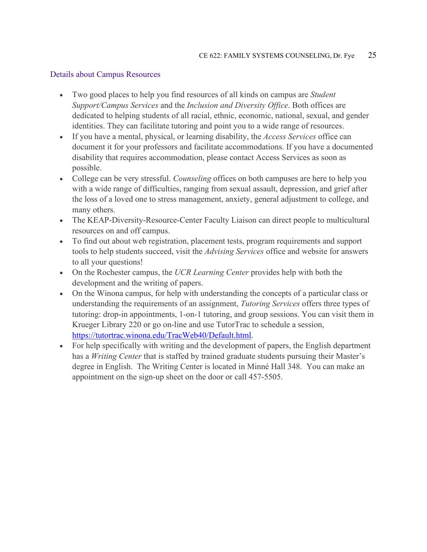### Details about Campus Resources

- Two good places to help you find resources of all kinds on campus are *Student Support/Campus Services* and the *Inclusion and Diversity Office*. Both offices are dedicated to helping students of all racial, ethnic, economic, national, sexual, and gender identities. They can facilitate tutoring and point you to a wide range of resources.
- If you have a mental, physical, or learning disability, the *Access Services* office can document it for your professors and facilitate accommodations. If you have a documented disability that requires accommodation, please contact Access Services as soon as possible.
- College can be very stressful. *Counseling* offices on both campuses are here to help you with a wide range of difficulties, ranging from sexual assault, depression, and grief after the loss of a loved one to stress management, anxiety, general adjustment to college, and many others.
- The KEAP-Diversity-Resource-Center Faculty Liaison can direct people to multicultural resources on and off campus.
- To find out about web registration, placement tests, program requirements and support tools to help students succeed, visit the *Advising Services* office and website for answers to all your questions!
- On the Rochester campus, the *UCR Learning Center* provides help with both the development and the writing of papers.
- On the Winona campus, for help with understanding the concepts of a particular class or understanding the requirements of an assignment, *Tutoring Services* offers three types of tutoring: drop-in appointments, 1-on-1 tutoring, and group sessions. You can visit them in Krueger Library 220 or go on-line and use TutorTrac to schedule a session, [https://tutortrac.winona.edu/TracWeb40/Default.html.](https://tutortrac.winona.edu/TracWeb40/Default.html)
- For help specifically with writing and the development of papers, the English department has a *Writing Center* that is staffed by trained graduate students pursuing their Master's degree in English. The Writing Center is located in Minné Hall 348. You can make an appointment on the sign-up sheet on the door or call 457-5505.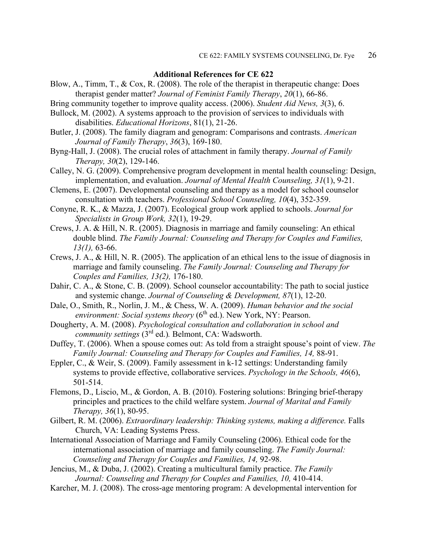#### **Additional References for CE 622**

- Blow, A., Timm, T., & Cox, R. (2008). The role of the therapist in therapeutic change: Does therapist gender matter? *Journal of Feminist Family Therapy*, *20*(1), 66-86.
- Bring community together to improve quality access. (2006). *Student Aid News, 3*(3), 6.
- Bullock, M. (2002). A systems approach to the provision of services to individuals with disabilities. *Educational Horizons*, 81(1), 21-26.
- Butler, J. (2008). The family diagram and genogram: Comparisons and contrasts. *American Journal of Family Therapy*, *36*(3), 169-180.
- Byng-Hall, J. (2008). The crucial roles of attachment in family therapy. *Journal of Family Therapy, 30*(2), 129-146.
- Calley, N. G. (2009). Comprehensive program development in mental health counseling: Design, implementation, and evaluation. *Journal of Mental Health Counseling, 31*(1), 9-21.
- Clemens, E. (2007). Developmental counseling and therapy as a model for school counselor consultation with teachers. *Professional School Counseling, 10*(4), 352-359.
- Conyne, R. K., & Mazza, J. (2007). Ecological group work applied to schools. *Journal for Specialists in Group Work, 32*(1), 19-29.
- Crews, J. A. & Hill, N. R. (2005). Diagnosis in marriage and family counseling: An ethical double blind. *The Family Journal: Counseling and Therapy for Couples and Families, 13(1),* 63-66.
- Crews, J. A., & Hill, N. R. (2005). The application of an ethical lens to the issue of diagnosis in marriage and family counseling. *The Family Journal: Counseling and Therapy for Couples and Families, 13(2),* 176-180.
- Dahir, C. A., & Stone, C. B. (2009). School counselor accountability: The path to social justice and systemic change. *Journal of Counseling & Development, 87*(1), 12-20.
- Dale, O., Smith, R., Norlin, J. M., & Chess, W. A. (2009). *Human behavior and the social environment: Social systems theory* (6<sup>th</sup> ed.). New York, NY: Pearson.
- Dougherty, A. M. (2008). *Psychological consultation and collaboration in school and community settings* (3rd ed.)*.* Belmont, CA: Wadsworth.
- Duffey, T. (2006). When a spouse comes out: As told from a straight spouse's point of view. *The Family Journal: Counseling and Therapy for Couples and Families, 14,* 88-91.
- Eppler, C., & Weir, S. (2009). Family assessment in k-12 settings: Understanding family systems to provide effective, collaborative services. *Psychology in the Schools, 46*(6), 501-514.
- Flemons, D., Liscio, M., & Gordon, A. B. (2010). Fostering solutions: Bringing brief-therapy principles and practices to the child welfare system. *Journal of Marital and Family Therapy, 36*(1), 80-95.
- Gilbert, R. M. (2006). *Extraordinary leadership: Thinking systems, making a difference*. Falls Church, VA: Leading Systems Press.
- International Association of Marriage and Family Counseling (2006). Ethical code for the international association of marriage and family counseling. *The Family Journal: Counseling and Therapy for Couples and Families, 14,* 92-98.
- Jencius, M., & Duba, J. (2002). Creating a multicultural family practice. *The Family Journal: Counseling and Therapy for Couples and Families, 10,* 410-414.
- Karcher, M. J. (2008). The cross-age mentoring program: A developmental intervention for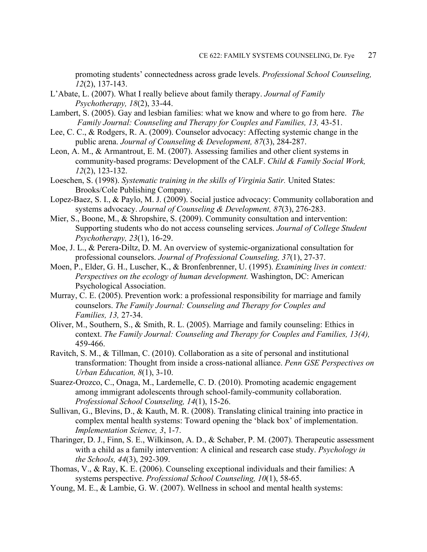promoting students' connectedness across grade levels. *Professional School Counseling, 12*(2), 137-143.

- L'Abate, L. (2007). What I really believe about family therapy. *Journal of Family Psychotherapy, 18*(2), 33-44.
- Lambert, S. (2005). Gay and lesbian families: what we know and where to go from here. *The Family Journal: Counseling and Therapy for Couples and Families, 13, 43-51.*
- Lee, C. C., & Rodgers, R. A. (2009). Counselor advocacy: Affecting systemic change in the public arena. *Journal of Counseling & Development, 87*(3), 284-287.
- Leon, A. M., & Armantrout, E. M. (2007). Assessing families and other client systems in community-based programs: Development of the CALF. *Child & Family Social Work, 12*(2), 123-132.
- Loeschen, S. (1998). *Systematic training in the skills of Virginia Satir*. United States: Brooks/Cole Publishing Company.
- Lopez-Baez, S. I., & Paylo, M. J. (2009). Social justice advocacy: Community collaboration and systems advocacy. *Journal of Counseling & Development, 87*(3), 276-283.
- Mier, S., Boone, M., & Shropshire, S. (2009). Community consultation and intervention: Supporting students who do not access counseling services. *Journal of College Student Psychotherapy, 23*(1), 16-29.
- Moe, J. L., & Perera-Diltz, D. M. An overview of systemic-organizational consultation for professional counselors. *Journal of Professional Counseling, 37*(1), 27-37.
- Moen, P., Elder, G. H., Luscher, K., & Bronfenbrenner, U. (1995). *Examining lives in context: Perspectives on the ecology of human development.* Washington, DC: American Psychological Association.
- Murray, C. E. (2005). Prevention work: a professional responsibility for marriage and family counselors. *The Family Journal: Counseling and Therapy for Couples and Families, 13,* 27-34.
- Oliver, M., Southern, S., & Smith, R. L. (2005). Marriage and family counseling: Ethics in context. *The Family Journal: Counseling and Therapy for Couples and Families, 13(4),*  459-466.
- Ravitch, S. M., & Tillman, C. (2010). Collaboration as a site of personal and institutional transformation: Thought from inside a cross-national alliance. *Penn GSE Perspectives on Urban Education, 8*(1), 3-10.
- Suarez-Orozco, C., Onaga, M., Lardemelle, C. D. (2010). Promoting academic engagement among immigrant adolescents through school-family-community collaboration. *Professional School Counseling, 14*(1), 15-26.
- Sullivan, G., Blevins, D., & Kauth, M. R. (2008). Translating clinical training into practice in complex mental health systems: Toward opening the 'black box' of implementation. *Implementation Science, 3*, 1-7.
- Tharinger, D. J., Finn, S. E., Wilkinson, A. D., & Schaber, P. M. (2007). Therapeutic assessment with a child as a family intervention: A clinical and research case study. *Psychology in the Schools, 44*(3), 292-309.
- Thomas, V., & Ray, K. E. (2006). Counseling exceptional individuals and their families: A systems perspective. *Professional School Counseling, 10*(1), 58-65.
- Young, M. E., & Lambie, G. W. (2007). Wellness in school and mental health systems: